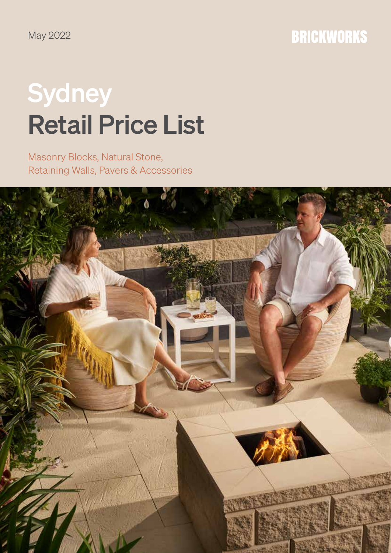# **Sydney** Retail Price List

Masonry Blocks, Natural Stone, Retaining Walls, Pavers & Accessories

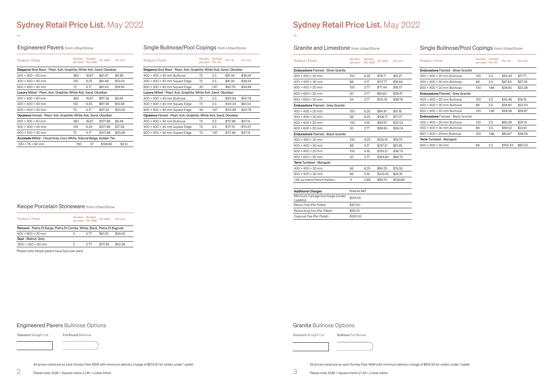### Sydney Retail Price List. May 2022

### Engineered Pavers from UrbanStone

-

-

All prices noted are ex yard Horsley Park NSW with minimum delivery charge of \$214.50 for orders under 1 pallet.

All prices noted are ex yard Horsley Park NSW with minimum delivery charge of \$214.50 for orders under 1 pallet.

Please note: SQM = Square metre // LM = Linear metre

### Single Bullnose/Pool Copings from UrbanStone

| <b>Product / Finish</b>                                                 | Number                                                                       | Number<br>per pack Per SQM | Per SOM  | Per Unit |  |  |  |  |
|-------------------------------------------------------------------------|------------------------------------------------------------------------------|----------------------------|----------|----------|--|--|--|--|
|                                                                         | <b>Elegance</b> Shot Blast - Pearl, Ash, Graphite, White Ash, Sand, Obsidian |                            |          |          |  |  |  |  |
| $200 \times 300 \times 40$ mm                                           | 360                                                                          | 1667                       | \$81.47  | \$4.89   |  |  |  |  |
| $400 \times 400 \times 40$ mm                                           | 135                                                                          | 6.25                       | \$81.48  | \$13.04  |  |  |  |  |
| $600 \times 400 \times 40$ mm                                           | 72                                                                           | 4.17                       | \$81.40  | \$19.54  |  |  |  |  |
| Luxury Milled - Pearl, Ash, Graphite, White Ash, Sand, Obsidian         |                                                                              |                            |          |          |  |  |  |  |
| $200 \times 300 \times 40$ mm                                           | 360                                                                          | 16.67                      | \$97.38  | \$5.84   |  |  |  |  |
| $400 \times 400 \times 40$ mm                                           | 135                                                                          | 6.25                       | \$97.39  | \$15.58  |  |  |  |  |
| $600 \times 400 \times 40$ mm                                           | 72                                                                           | 4.17                       | \$97.30  | \$23.35  |  |  |  |  |
| <b>Opulence</b> Honed - Pearl, Ash, Graphite, White Ash, Sand, Obsidian |                                                                              |                            |          |          |  |  |  |  |
| $200 \times 300 \times 40$ mm                                           | 360                                                                          | 16.67                      | \$107.98 | \$6.48   |  |  |  |  |
| $400 \times 400 \times 40$ mm                                           | 135                                                                          | 6.25                       | \$107.99 | \$17.28  |  |  |  |  |
| $600 \times 400 \times 40$ mm                                           | 72                                                                           | 4.17                       | \$107.89 | \$25.89  |  |  |  |  |
| Accolade Milled - Cloud Grey, Ivory White, Natural Beige, Golden Tan    |                                                                              |                            |          |          |  |  |  |  |
| $230 \times 76 \times 60$ mm                                            | 780                                                                          | 57                         | \$199.95 | \$3.51   |  |  |  |  |

### Single Bullnose/Pool Copings from UrbanStone

| <b>Product / Finish</b>                    | <b>Number</b><br>per pack | Number<br>Per SOM | Per SOM  | Per Unit |
|--------------------------------------------|---------------------------|-------------------|----------|----------|
| <b>Endurastone Flamed - Silver Granite</b> |                           |                   |          |          |
| $400 \times 400 \times 20$ mm              | 100                       | 6.25              | \$76.71  | \$12.27  |
| $400 \times 400 \times 30$ mm              | 68                        | 4.17              | \$117.77 | \$18.84  |
| $600 \times 400 \times 20$ mm              | 100                       | 2.77              | \$77.44  | \$18.57  |
| $600 \times 600 \times 20$ mm              | 50                        | 2.77              | \$81.62  | \$29.47  |
| $600 \times 600 \times 30$ mm              | 34                        | 2.77              | \$110.18 | \$39.78  |
| <b>Endurastone Flamed - Grey Granite</b>   |                           |                   |          |          |
| $400 \times 400 \times 20$ mm              | 100 <sub>o</sub>          | 6.25              | \$94.91  | \$15.19  |
| $400 \times 400 \times 30$ mm              | 68                        | 6.25              | \$106.71 | \$17.07  |
| $600 \times 400 \times 20$ mm              | 100                       | 416               | \$93.97  | \$22.53  |
| $600 \times 600 \times 20$ mm              | 50                        | 2.77              | \$99.84  | \$36.04  |
| <b>Endurastone Flamed - Black Granite</b>  |                           |                   |          |          |
| $400 \times 400 \times 20$ mm              | 100                       | 625               | \$123.14 | \$19.70  |
| $400 \times 400 \times 30$ mm              | 68                        | 4.17              | \$137.21 | \$21.95  |
| $600 \times 400 \times 20$ mm              | 100                       | 416               | \$153.21 | \$36.74  |
| $600 \times 600 \times 20$ mm              | 50                        | 2.77              | \$184.90 | \$66.75  |
| Terre Tumbled - Marigold                   |                           |                   |          |          |
| $400 \times 400 \times 30$ mm              | 66                        | 6.25              | \$94.25  | \$15.08  |
| $600 \times 400 \times 30$ mm              | 66                        | 4.16              | \$103.45 | \$24.81  |
| 1.44 sq metre French Pattern               | 11                        | 0.69              | \$95.70  | \$138.69 |
|                                            |                           |                   |          |          |

| <b>Additional Charges</b>                      | Price Inc GST |
|------------------------------------------------|---------------|
| Minimum Cartage Surcharge (Under<br>1 pallets) | \$214.50      |
| Return Fee (Per Pallet)                        | \$121.00      |
| Restocking Fee (Per Pallet)                    | \$55,00       |
| Disposal Fee (Per Pallet)                      | \$330.00      |

### Keope Porcelain Stoneware from UrbanStone

| <b>Product / Finish</b>                                                      | Number Number<br>per pack Per SOM |      | Per SOM | Per Unit |  |  |
|------------------------------------------------------------------------------|-----------------------------------|------|---------|----------|--|--|
| Percorsi - Pietra Di Barge, Pietra Di Combe, White, Black, Pietra Di Bagnolo |                                   |      |         |          |  |  |
| $600 \times 600 \times 20$ mm                                                |                                   | 2 77 | \$91.55 | \$33.05  |  |  |
| Soul - Walnut, Grey                                                          |                                   |      |         |          |  |  |
| $1200 \times 300 \times 20$ mm                                               | Ω                                 | 2 77 | \$11795 | \$42.58  |  |  |

| Product / Finish                                                      | Number<br>per pack Per LM | <b>Number</b> | Per LM   | Per Unit |  |  |  |  |
|-----------------------------------------------------------------------|---------------------------|---------------|----------|----------|--|--|--|--|
| Elegance Shot Blast - Pearl, Ash, Graphite, White Ash, Sand, Obsidian |                           |               |          |          |  |  |  |  |
| $400 \times 400 \times 40$ mm Bullnose                                | 72                        | 2.5           | \$91.34  | \$36.54  |  |  |  |  |
| $400 \times 400 \times 40$ mm Square Edge                             | 72                        | 2.5           | \$91.34  | \$36.54  |  |  |  |  |
| $600 \times 400 \times 40$ mm Square Edge                             | 40                        | 1.67          | \$90.79  | \$54.69  |  |  |  |  |
| Luxury Milled - Pearl, Ash, Graphite, White Ash, Sand, Obsidian       |                           |               |          |          |  |  |  |  |
| $400 \times 400 \times 40$ mm Bullnose                                | 72                        | 2.5           | \$101.94 | \$40.78  |  |  |  |  |
| $400 \times 400 \times 40$ mm Square Edge                             | 72                        | 2.5           | \$101.33 | \$61.04  |  |  |  |  |
| $600 \times 400 \times 40$ mm Square Edge                             | 40                        | 1.67          | \$101.94 | \$40.78  |  |  |  |  |
| Opulence Honed - Pearl, Ash, Graphite, White Ash, Sand, Obsidian      |                           |               |          |          |  |  |  |  |
| $400 \times 400 \times 40$ mm Bullnose                                | 72                        | 2.5           | \$117.86 | \$47.14  |  |  |  |  |
| $400 \times 400 \times 40$ mm Square Edge                             | 72                        | 2.5           | \$117.15 | \$70.57  |  |  |  |  |
| $600 \times 400 \times 40$ mm Square Edge                             | 72                        | 1.67          | \$117.86 | \$47.14  |  |  |  |  |

### Sydney Retail Price List. May 2022

### Granite and Limestone from UrbanStone

### Engineered Pavers Bullnose Options

Standard Straight Cut Full Round Bullnose

Granite Bullnose Options



Please note: Keope pavers have 2pcs per pack.

| <b>Product / Finish</b>                    | Number<br>per pack Per LM | Number | Per LM   | Per Unit |
|--------------------------------------------|---------------------------|--------|----------|----------|
| <b>Endurastone Flamed - Silver Granite</b> |                           |        |          |          |
| 400 × 400 × 20 mm Bullnose                 | 100                       | 2.5    | \$44.42  | \$17.77  |
| $400 \times 400 \times 30$ mm Bullnose     | 68                        | 2.5    | \$67.63  | \$27.05  |
| $600 \times 400 \times 20$ mm Bullnose     | 100                       | 1.66   | \$38.80  | \$23.38  |
| <b>Endurastone</b> Flamed - Grey Granite   |                           |        |          |          |
| $400 \times 400 \times 20$ mm Bullnose     | 100                       | 2.5    | \$45.46  | \$18.18  |
| $400 \times 400 \times 30$ mm Bullnose     | 68                        | 2.5    | \$58.60  | \$23.44  |
| 600 × 400 × 20 mm Bullnose                 | 100                       | 1.66   | \$49.58  | \$29.87  |
| <b>Endurastone Flamed - Black Granite</b>  |                           |        |          |          |
| $400 \times 400 \times 20$ mm Bullnose     | 100                       | 2.5    | \$60.26  | \$24.10  |
| $400 \times 400 \times 30$ mm Bullnose     | 68                        | 2.5    | \$59.02  | \$23.61  |
| $600 \times 400 \times 20$ mm Bullnose     | 100                       | 1.66   | \$60.67  | \$36.55  |
| Terre Tumbled - Marigold                   |                           |        |          |          |
| $600 \times 400 \times 30$ mm              | 66                        | 2.5    | \$100.43 | \$60.50  |
|                                            |                           |        |          |          |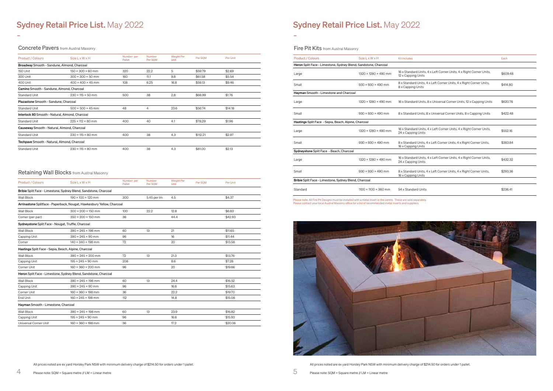## Sydney Retail Price List. May 2022

### **Concrete Pavers** from Austral Masonry

-

-

Fire Pit Kits from Austral Masonry

All prices noted are ex yard Horsley Park NSW with minimum delivery charge of \$214.50 for orders under 1 pallet.

## Sydney Retail Price List. May 2022

All prices noted are ex yard Horsley Park NSW with minimum delivery charge of \$214.50 for orders under 1 pallet.

| <b>Product / Colours</b>                             | <b>Size L x W x H</b>                                                  | Number per<br>Pallet | Number<br>Per SOM | <b>Weight Per</b><br>Unit | Per SQM | Per Unit |
|------------------------------------------------------|------------------------------------------------------------------------|----------------------|-------------------|---------------------------|---------|----------|
|                                                      | Bribie Split Face - Limestone, Sydney Blend, Sandstone, Charcoal       |                      |                   |                           |         |          |
| Wall Block                                           | $190 \times 100 \times 120$ mm                                         | 300                  | 5.45 per Im       | 4.5                       |         | \$4.37   |
|                                                      | Arrinastone Splitface - Paperback, Nougat, Hawkesbury Yellow, Charcoal |                      |                   |                           |         |          |
| Wall Block                                           | $300 \times 200 \times 150$ mm                                         | 100                  | 22.2              | 12.8                      |         | \$6.83   |
| Corner (per pair)                                    | $350 \times 200 \times 150$ mm                                         | 36                   |                   | 44.4                      |         | \$42.93  |
| Sydneystone Split Face - Nougat, Truffle, Charcoal   |                                                                        |                      |                   |                           |         |          |
| Wall Block                                           | $390 \times 245 \times 198$ mm                                         | 60                   | 13                | 21                        |         | \$11.65  |
| Capping Unit                                         | $390 \times 245 \times 90$ mm                                          | 96                   |                   | 16                        |         | \$11.44  |
| Corner                                               | $140 \times 340 \times 198$ mm                                         | 72                   |                   | 20                        |         | \$13.58  |
| Hastings Split Face - Sepia, Beach, Alpine, Charcoal |                                                                        |                      |                   |                           |         |          |
| Wall Block                                           | $390 \times 245 \times 200$ mm                                         | 72                   | 13                | 21.3                      |         | \$13.76  |
| Capping Unit                                         | $195 \times 245 \times 90$ mm                                          | 208                  |                   | 8.6                       |         | \$7.28   |
| Corner Unit                                          | $160 \times 360 \times 200$ mm                                         | 96                   |                   | 20                        |         | \$19.66  |
|                                                      | Heron Split Face - Limestone, Sydney Blend, Sandstone, Charcoal        |                      |                   |                           |         |          |
| Wall Block                                           | $390 \times 245 \times 198$ mm                                         | 60                   | 13                | 24.4                      |         | \$16.52  |
| Capping Unit                                         | $390 \times 245 \times 90$ mm                                          | 96                   |                   | 16.6                      |         | \$15.63  |
| Corner Unit                                          | $160 \times 360 \times 198$ mm                                         | 36                   |                   | 22.2                      |         | \$19.70  |
| End Unit                                             | 160 × 245 × 198 mm                                                     | 112                  |                   | 14.8                      |         | \$15.08  |
| Hayman Smooth - Limestone, Charcoal                  |                                                                        |                      |                   |                           |         |          |
| <b>Wall Block</b>                                    | $390 \times 245 \times 198$ mm                                         | 60                   | 13                | 23.9                      |         | \$16.82  |
| Capping Unit                                         | $195 \times 245 \times 90$ mm                                          | 96                   |                   | 16.6                      |         | \$15.93  |
| Universal Corner Unit                                | $160 \times 360 \times 198$ mm                                         | 36                   |                   | 17.2                      |         | \$20.06  |

| <b>Product / Colours</b>                                        | <b>Size L x W x H</b>            | <b>Kit Includes</b>                                                                       | Each     |
|-----------------------------------------------------------------|----------------------------------|-------------------------------------------------------------------------------------------|----------|
| Heron Split Face - Limestone, Sydney Blend, Sandstone, Charcoal |                                  |                                                                                           |          |
| Large                                                           | $1320 \times 1280 \times 490$ mm | 16 x Standard Units, 4 x Left Corner Units, 4 x Right Corner Units,<br>12 x Capping Units | \$609.48 |
| Small                                                           | $930 \times 930 \times 490$ mm   | 8 x Standard Units, 4 x Left Corner Units, 4 x Right Corner Units,<br>8 x Capping Units   | \$414.80 |
| Hayman Smooth - Limestone and Charcoal                          |                                  |                                                                                           |          |
| Large                                                           | $1320 \times 1280 \times 490$ mm | 16 x Standard Units, 8 x Universal Corner Units, 12 x Capping Units                       | \$620.76 |
| Small                                                           | $930 \times 930 \times 490$ mm   | 8 x Standard Units, 8 x Universal Corner Units, 8 x Capping Units                         | \$422.48 |
| Hastings Split Face - Sepia, Beach, Alpine, Charcoal            |                                  |                                                                                           |          |
| Large                                                           | $1320 \times 1280 \times 490$ mm | 16 x Standard Units, 4 x Left Corner Units, 4 x Right Corner Units,<br>24 x Capping Units | \$552.16 |
| Small                                                           | $930 \times 930 \times 490$ mm   | 8 x Standard Units, 4 x Left Corner Units, 4 x Right Corner Units,<br>16 x Capping Units  | \$383.84 |
| Sydneystone Split Face - Beach, Charcoal                        |                                  |                                                                                           |          |
| Large                                                           | $1320 \times 1280 \times 490$ mm | 16 x Standard Units, 4 x Left Corner Units, 4 x Right Corner Units,<br>24 x Capping Units | \$432.32 |
| Small                                                           | $930 \times 930 \times 490$ mm   | 8 x Standard Units, 4 x Left Corner Units, 4 x Right Corner Units,<br>16 x Capping Units  | \$293.36 |
| Bribie Split Face - Limestone, Sydney Blend, Charcoal           |                                  |                                                                                           |          |
| Standard                                                        | $1100 \times 1100 \times 360$ mm | 54 x Standard Units                                                                       | \$236.41 |
|                                                                 |                                  |                                                                                           |          |

Please note: All Fire Pit Designs must be installed with a metal insert in the centre. These are sold separately. Please contact your local Austral Masonry office for a list of recommended metal inserts and suppliers.



| <b>Product / Colours</b>                        | <b>Size L x W x H</b>         | Number per<br>Pallet | <b>Number</b><br>Per SQM | <b>Weight Per</b><br>Unit | Per SOM  | Per Unit |  |
|-------------------------------------------------|-------------------------------|----------------------|--------------------------|---------------------------|----------|----------|--|
| Broadway Smooth - Sandune, Almond, Charcoal     |                               |                      |                          |                           |          |          |  |
| 150 Unit                                        | $150 \times 300 \times 60$ mm | 320                  | 22.2                     | 5                         | \$59.79  | \$2.69   |  |
| 300 Unit                                        | $300 \times 300 \times 50$ mm | 160                  | 11.1                     | 9.8                       | \$61.58  | \$5.54   |  |
| 400 Unit                                        | $400 \times 400 \times 45$ mm | 108                  | 6.25                     | 16.8                      | \$59.13  | \$9.46   |  |
| Camino Smooth - Sandune, Almond, Charcoal       |                               |                      |                          |                           |          |          |  |
| <b>Standard Unit</b>                            | $230 \times 115 \times 50$ mm | 500                  | 38                       | 2.8                       | \$66.99  | \$1.76   |  |
| Plazastone Smooth - Sandune, Charcoal           |                               |                      |                          |                           |          |          |  |
| <b>Standard Unit</b>                            | $500 \times 500 \times 45$ mm | 48                   | 4                        | 23.6                      | \$56.74  | \$14.18  |  |
| Interlock 80 Smooth - Natural, Almond, Charcoal |                               |                      |                          |                           |          |          |  |
| <b>Standard Unit</b>                            | $225 \times 112 \times 80$ mm | 400                  | 40                       | 4.1                       | \$78.29  | \$1.96   |  |
| Causeway Smooth - Natural, Almond, Charcoal     |                               |                      |                          |                           |          |          |  |
| <b>Standard Unit</b>                            | $230 \times 115 \times 80$ mm | 400                  | 38                       | 4.3                       | \$112.21 | \$2.97   |  |
| Techpave Smooth - Natural, Almond, Charcoal     |                               |                      |                          |                           |          |          |  |
| <b>Standard Unit</b>                            | $230 \times 115 \times 80$ mm | 400                  | 38                       | 4.3                       | \$81.00  | \$2.13   |  |

### Retaining Wall Blocks from Austral Masonry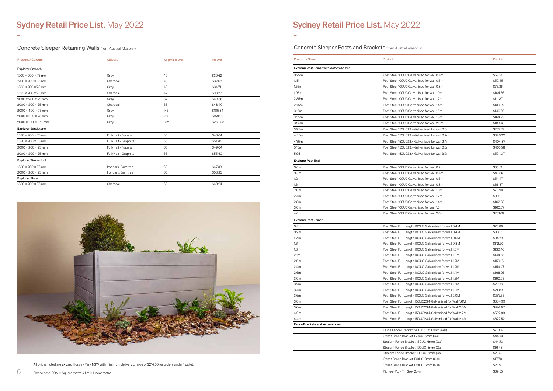## Sydney Retail Price List. May 2022

-

## Sydney Retail Price List. May 2022

-

All prices noted are ex yard Horsley Park NSW with minimum delivery charge of \$214.50 for orders under 1 pallet.

Please note: SQM = Square metre // LM = Linear metre

Concrete Sleeper Retaining Walls from Austral Masonry

| <b>Product / Colours</b>        | Colours              | Weight per Unit | Per Unit |  |
|---------------------------------|----------------------|-----------------|----------|--|
| <b>Explorer Smooth</b>          |                      |                 |          |  |
| $1200 \times 200 \times 75$ mm  | Grey                 | 40              | \$30.62  |  |
| $1200 \times 200 \times 75$ mm  | Charcoal             | 40              | \$32.68  |  |
| $1530 \times 200 \times 75$ mm  | Grey                 | 49              | \$34.71  |  |
| $1530 \times 200 \times 75$ mm  | Charcoal             | 49              | \$38.77  |  |
| $2000 \times 200 \times 75$ mm  | Grey                 | 67              | \$40.66  |  |
| $2000 \times 200 \times 75$ mm  | Charcoal             | 67              | \$48.40  |  |
| $2000 \times 400 \times 75$ mm  | Grey                 | 145             | \$105.34 |  |
| $2000 \times 600 \times 75$ mm  | Grey                 | 217             | \$158.00 |  |
| $2000 \times 1000 \times 75$ mm | Grey                 | 362             | \$268.62 |  |
| <b>Explorer Sandstone</b>       |                      |                 |          |  |
| $1580 \times 200 \times 75$ mm  | Full/Half - Natural  | 50              | \$43.64  |  |
| $1580 \times 200 \times 75$ mm  | Full/Half - Graphite | 50              | \$51.70  |  |
| $2000 \times 200 \times 75$ mm  | Full/Half - Natural  | 65              | \$49.04  |  |
| $2000 \times 200 \times 75$ mm  | Full/Half - Graphite | 65              | \$55.40  |  |
| <b>Explorer Timberlook</b>      |                      |                 |          |  |
| $1580 \times 200 \times 75$ mm  | Ironbark, Gumtree    | 50              | \$47.38  |  |
| $2000 \times 200 \times 75$ mm  | Ironbark, Gumtree    | 65              | \$58.25  |  |
| <b>Explorer Slate</b>           |                      |                 |          |  |
| $1580 \times 200 \times 75$ mm  | Charcoal             | 50              | \$49.24  |  |
|                                 |                      |                 |          |  |



Concrete Sleeper Posts and Brackets from Austral Masonry

| <b>Product / Sizes</b>                        | Product                                                                        | Per Unit           |
|-----------------------------------------------|--------------------------------------------------------------------------------|--------------------|
| <b>Explorer Post Joiner with deformed bar</b> |                                                                                |                    |
| 0.75m                                         | Post Steel 100UC Galvanised for wall 0.4m                                      | \$52.31            |
| 1.15m                                         | Post Steel 100UC Galvanised for wall 0.6m                                      | \$59.45            |
| 1.55m                                         | Post Steel 100UC Galvanised for wall 0.8m                                      | \$76.36            |
| 1.95m                                         | Post Steel 100UC Galvanised for wall 1.0m                                      | \$104.56           |
| 2.35m                                         | Post Steel 100UC Galvanised for wall 1.2m                                      | \$111.87           |
| 2.75m                                         | Post Steel 100UC Galvanised for wall 1.4m                                      | \$130.82           |
| 3.15m                                         | Post Steel 100UC Galvanised for wall 1.6m                                      | \$140.50           |
| 3.55m                                         | Post Steel 100UC Galvanised for wall 1.8m                                      | \$164.23           |
| 3.95m                                         | Post Steel 100UC Galvanised for wall 2.0m                                      | \$183.43           |
| 3.95m                                         | Post Steel 150UC23.4 Galvanised for wall 2.0m                                  | \$287.57           |
| 4.35m                                         | Post Steel 150UC23.4 Galvanised for wall 2.2m                                  | \$346.22           |
| 4.75m                                         | Post Steel 150UC23.4 Galvanised for wall 2.4m                                  | \$404.87           |
| 5.15m                                         | Post Steel 150UC23.4 Galvanised for wall 2.6m                                  | \$463.58           |
| 5.95                                          | Post Steel 150UC23.4 Galvanised for wall 3.0m                                  | \$524.37           |
| <b>Explorer Post End</b>                      |                                                                                |                    |
| 0.6 <sub>m</sub>                              | Post Steel 100UC Galvanised for wall 0.2m                                      | \$35.51            |
| 0.8 <sub>m</sub>                              | Post Steel 100UC Galvanised for wall 0.4m                                      | \$42.66            |
| 1.2 <sub>m</sub>                              | Post Steel 100UC Galvanised for wall 0.6m                                      | \$54.47            |
| 1.6 <sub>m</sub>                              | Post Steel 100UC Galvanised for wall 0.8m                                      | \$66.37            |
| 2.0 <sub>m</sub>                              | Post Steel 100UC Galvanised for wall 1.0m                                      | \$78.28            |
| 2.4m                                          | Post Steel 100UC Galvanised for wall 1.2m                                      | \$90.18            |
| 2.8 <sub>m</sub>                              | Post Steel 100UC Galvanised for wall 1.4m                                      | \$102.08           |
| 3.0m                                          | Post Steel 100UC Galvanised for wall 1.6m                                      | \$160.57           |
| 4.0m                                          | Post Steel 100UC Galvanised for wall 2.0m                                      | \$231.69           |
| <b>Explorer Post Joiner</b>                   |                                                                                |                    |
| 0.8 <sub>m</sub>                              | Post Steel Full Length 100UC Galvanised for wall 0.4M                          | \$76.86            |
| 0.9 <sub>m</sub>                              | Post Steel Full Length 100UC Galvanised for wall 0.4M                          | \$80.15            |
| 1.2 <sub>m</sub>                              | Post Steel Full Length 100UC Galvanised for wall 0.6M                          | \$94.79            |
| 1.6 <sub>m</sub>                              | Post Steel Full Length 100UC Galvanised for wall 0.8M                          | \$112.70           |
| 1.8m                                          | Post Steel Full Length 100UC Galvanised for wall 1.0M                          | \$130.46           |
| 2.1 <sub>m</sub>                              | Post Steel Full Length 100UC Galvanised for wall 1.0M                          | \$144.65           |
| 2.0 <sub>m</sub>                              | Post Steel Full Length 100UC Galvanised for wall 1.2M                          | \$150.15           |
| 2.4m                                          | Post Steel Full Length 100UC Galvanised for wall 1.2M                          | \$154.47           |
| 2.6 <sub>m</sub>                              | Post Steel Full Length 100UC Galvanised for wall 1.4M                          | \$166.26           |
| 3.0m                                          | Post Steel Full Length 100UC Galvanised for wall 1.6M                          | \$190.03           |
| 3.2 <sub>m</sub>                              | Post Steel Full Length 100UC Galvanised for wall 1.6M                          | \$209.13           |
| 3.4m                                          | Post Steel Full Length 100UC Galvanised for wall 1.8M                          | \$213.98           |
| 3.6 <sub>m</sub>                              | Post Steel Full Length 100UC Galvanised for wall 2.0M                          | \$237.55           |
| 3.0m                                          | Post Steel Full Length 150UC23.4 Galvanised for Wall 1.6M                      | \$384.99           |
| 3.6m                                          | Post Steel Full Length 150UC23.4 Galvanised for Wall 2.0M                      | \$474.87           |
| 4.0m                                          | Post Steel Full Length 150UC23.4 Galvanised for Wall 2.2M                      | \$532.89           |
| 4.4m                                          | Post Steel Full Length 150UC23.4 Galvanised for Wall 2.4M                      | \$622.52           |
| <b>Fence Brackets and Accessories</b>         |                                                                                |                    |
|                                               | Large Fence Bracket $1200 \times 65 \times 10$ mm (Gal)                        | \$73.04            |
|                                               | Offset Fence Bracket 150UC 6mm (Gal)                                           | \$44.73            |
|                                               | Straight Fence Bracket 150UC 6mm (Gal)                                         | \$44.73            |
|                                               | Straight Fence Bracket 100UC 3mm (Gal)                                         | \$16.48            |
|                                               | Straight Fence Bracket 100UC 6mm (Gal)<br>Offset Fence Bracket 100UC 3mm (Gal) | \$23.57<br>\$17.70 |
|                                               |                                                                                | \$25.97            |
|                                               | Offset Fence Bracket 100UC 6mm (Gal)                                           |                    |
|                                               | Pioneer PLINTH Grey 2.4m                                                       | \$69.55            |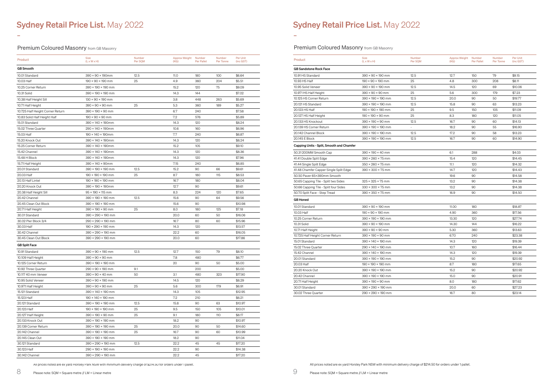### Premium Coloured Masonry from GB Masonry

9

-

-

## **Sydney Retail Price List. May 2022**

### **Premium Coloured Masonry** from GB Masonry

All prices noted are ex yard Horsley Park NSW with minimum delivery charge of \$214.50 for orders under 1 pallet.

All prices noted are ex yard Horsley Park NSW with minimum delivery charge of \$214.50 for orders under 1 pallet.

Please note: SQM = Square metre // LM = Linear metre

| Product                          | <b>Size</b><br>$(L \times W \times H)$ | Number<br>Per SQM | Approx Weight Number<br>(KG) | <b>Per Pallet</b> | Number<br>Per Tonne | Per Unit<br>(inc GST) |
|----------------------------------|----------------------------------------|-------------------|------------------------------|-------------------|---------------------|-----------------------|
| <b>GB</b> Smooth                 |                                        |                   |                              |                   |                     |                       |
| 10.01 Standard                   | $390 \times 90 \times 190$ mm          | 12.5              | 11.0                         | 180               | 100                 | \$6.64                |
| 10.03 Half                       | $190 \times 90 \times 190$ mm          | 25                | 4.9                          | 360               | 204                 | \$5.51                |
| 10.25 Corner Return              | 390 × 190 × 190 mm                     |                   | 15.2                         | 120               | 75                  | \$9.09                |
| 10.31 Solid                      | 390 × 190 × 190 mm                     |                   | 14.3                         | 144               |                     | \$7.02                |
| 10.38 Half Height Sill           | $130 \times 90 \times 190$ mm          |                   | 3.8                          | 448               | 263                 | \$5.69                |
| 10.71 Half Height                | $390 \times 90 \times 90$ mm           | 25                | 5.3                          | 360               | 189                 | \$5.27                |
| 10.725 Half Height Corner Return | 390 × 190 × 90 mm                      |                   | 6.7                          | 240               |                     | \$7.58                |
| 10.83 Solid Half Height Half     | $190 \times 90 \times 90$ mm           |                   | 7.2                          | 576               |                     | \$5.89                |
| 15.01 Standard                   | 390 × 140 × 190mm                      |                   | 14.3                         | 120               |                     | \$8.24                |
| 15.02 Three Quarter              | 290 × 140 × 190mm                      |                   | 10.6                         | 160               |                     | \$6.96                |
| 15.03 Half                       | $190 \times 140 \times 190$ mm         |                   | 7.7                          | 240               |                     | \$6.87                |
| 15.20 Knock Out                  | $390 \times 140 \times 190$ mm         |                   | 14.3                         | 120               |                     | \$8.24                |
| 15.25 Corner Return              | 390 × 140 × 190mm                      |                   | 15.2                         | 105               |                     | \$9.10                |
| 15.42 Channel                    | $390 \times 140 \times 190$ mm         |                   | 14.3                         | 120               |                     | \$8.36                |
| 15.48 H Block                    | 390 × 140 × 190mm                      |                   | 14.3                         | 120               |                     | \$7.96                |
| 15.71 Half Height                | $390 \times 140 \times 90$ mm          |                   | 7.15                         | 240               |                     | \$6.85                |
| 20.01 Standard                   | 390 × 190 × 190 mm                     | 12.5              | 15.2                         | 90                | 66                  | \$9.61                |
| 20.03 Half                       | $190 \times 190 \times 190$ mm         | 25                | 8.7                          | 180               | 115                 | \$8.53                |
| 20.13 Half Lintel                | $190 \times 190 \times 190$ mm         |                   | 16.7                         | 180               |                     | \$8.04                |
| 20.20 Knock Out                  | 390 × 190 × 190mm                      |                   | 12.7                         | 90                |                     | \$9.61                |
| 20.38 Half Height Sill           | $95 \times 190 \times 115$ mm          |                   | 8.3                          | 224               | 120                 | \$7.65                |
| 20.42 Channel                    | 390 × 190 × 190 mm                     | 12.5              | 15.6                         | 90                | 64                  | \$9.56                |
| 20.45 Clean Out Block            | 390 × 190 × 190 mm                     |                   | 15.6                         | 90                |                     | \$10.98               |
| 20.71 Half Height                | $390 \times 190 \times 90$ mm          | 25                | 8.0                          | 180               | 125                 | \$7.18                |
| 30.01 Standard                   | $390 \times 290 \times 190$ mm         |                   | 20.0                         | 60                | 50                  | \$16.06               |
| 30.02 Pier Block 3/4             | 290 × 290 × 190 mm                     |                   | 16.7                         | 80                | 60                  | \$15.96               |
| 30.03 Half                       | 190 × 290 × 190 mm                     |                   | 14.3                         | 120               |                     | \$13.57               |
| 30.42 Channel                    | 390 × 290 × 190 mm                     |                   | 22.2                         | 60                |                     | \$16.05               |
| 30.45 Clean Out Block            | 390 × 290 × 190 mm                     |                   | 20.0                         | 60                |                     | \$17.86               |
| <b>GB Split Face</b>             |                                        |                   |                              |                   |                     |                       |
| 10.91 Standard                   | $390 \times 90 \times 190$ mm          | 12.5              | 12.7                         | 150               | 79                  | \$8.10                |
| 10.109 Half Height               | $390 \times 90 \times 90$ mm           |                   | 7.8                          | 480               |                     | \$6.77                |
| 10.125 Corner Return             | 390 × 190 × 190 mm                     |                   | 20                           | 90                | 50                  | \$5.00                |
| 10.92 Three Quarter              | $290 \times 90 \times 190$ mm          | 9.1               |                              | 200               |                     | \$5.00                |
| 10.117 40 mm Veneer              | $390 \times 90 \times 40$ mm           | 50                | 3.1                          | 480               | 323                 | \$17.90               |
| 10.95 Solid Veneer               | $390 \times 90 \times 190$ mm          |                   | 14.5                         | 120               |                     | \$8.29                |
| 10.971 Half Height               | $390 \times 90 \times 90$ mm           | 25                | 5.6                          | 300               | 179                 | \$6.91                |
| 15.121 Standard                  | 390 × 140 × 190 mm                     |                   | 14.3                         | 105               |                     | \$12.95               |
| 15.123 Half                      | 190 × 140 × 190 mm                     |                   | 7.2                          | 210               |                     | \$6.21                |
| 20.121 Standard                  | 390 × 190 × 190 mm                     | 12.5              | 15.8                         | 90                | 63                  | \$10.97               |
| 20.123 Half                      | $190 \times 190 \times 190$ mm         | 25                | 9.5                          | 150               | 105                 | \$10.01               |
| 20.127 Half Height               | $390 \times 190 \times 90$ mm          | 25                | 9.1                          | 180               | 110                 | \$8.17                |
| 20.133 Knock Out                 | $390 \times 190 \times 190$ mm         |                   | 18.2                         | 90                |                     | \$10.97               |
| 20.139 Corner Return             | $390 \times 190 \times 190$ mm         | 25                | 20.0                         | 90                | 50                  | \$14.60               |
| 20.142 Channel                   | $390 \times 190 \times 190$ mm         | 25                | 16.7                         | 90                | 60                  | \$10.99               |
| 20.145 Clean Out                 | $390 \times 190 \times 190$ mm         |                   | 18.2                         | 90                |                     | \$11.04               |
| 30.121 Standard                  | 390 × 290 × 190 mm                     | 12.5              | 22.2                         | 45                | 45                  | \$17.20               |
| 30.123 Half                      | 290 × 190 × 190 mm                     |                   | 22.2                         | 90                |                     | \$14.38               |
| 30.142 Channel                   | 390 × 290 × 190 mm                     |                   | 22.2                         | 45                |                     | \$17.20               |

| Product                                   | <b>Size</b>                    | Number  | Approx Weight | Number            | Number    | Per Unit  |
|-------------------------------------------|--------------------------------|---------|---------------|-------------------|-----------|-----------|
|                                           | $(L \times W \times H)$        | Per SQM | (KG)          | <b>Per Pallet</b> | Per Tonne | (inc GST) |
| <b>GB Sandstone Rock Face</b>             |                                |         |               |                   |           |           |
| 10.91 HS Standard                         | $390 \times 90 \times 190$ mm  | 12.5    | 12.7          | 150               | 79        | \$9.15    |
| 10.93 HS Half                             | $190 \times 90 \times 190$ mm  | 25      | 4.8           | 300               | 208       | \$8.11    |
| 10.95 Solid Veneer                        | $390 \times 90 \times 190$ mm  | 12.5    | 14.5          | 120               | 69        | \$10.06   |
| 10.971 HS Half Height                     | $390 \times 90 \times 90$ mm   | 25      | 5.6           | 300               | 179       | \$7.23    |
| 10.125 HS Corner Return                   | $390 \times 190 \times 190$ mm | 12.5    | 20.0          | 90                | 50        | \$19.77   |
| 20.121 HS Standard                        | $390 \times 190 \times 190$ mm | 12.5    | 15.8          | 90                | 63        | \$13.23   |
| 20.123 HS Half                            | $190 \times 190 \times 190$ mm | 25      | 9.5           | 150               | 105       | \$11.09   |
| 20.127 HS Half Height                     | $190 \times 190 \times 90$ mm  | 25      | 8.3           | 180               | 120       | \$11.05   |
| 20.133 HS Knockout                        | $390 \times 190 \times 90$ mm  | 12.5    | 16.7          | 90                | 60        | \$14.13   |
| 20.139 HS Corner Return                   | $390 \times 190 \times 190$ mm | $\Box$  | 18.2          | 90                | 55        | \$16.90   |
| 20.142 Channel Block                      | $390 \times 190 \times 190$ mm | 12.5    | 17.2          | 90                | 58        | \$13.23   |
| 20.145 E Block                            | $390 \times 190 \times 190$ mm | 12.5    | 16.7          | 90                | 60        | \$14.90   |
| Capping Units - Split, Smooth and Chamfer |                                |         |               |                   |           |           |
| 50.31 200MM Smooth Cap                    | $390 \times 190 \times 40$ mm  |         | 6.1           | 288               |           | \$4.03    |
| 41.41 Double Split Edge                   | $390 \times 260 \times 75$ mm  |         | 15.4          | 120               |           | \$14.45   |
| 41.44 Single Split Edge                   | $350 \times 260 \times 75$ mm  |         | 11.1          | 120               |           | \$14.32   |
| 41.48 Chamfer Capper Single Split Edge    | $390 \times 300 \times 75$ mm  |         | 14.7          | 120               |           | \$14.43   |
| 50.50 Paver 65×390mm Smooth               |                                |         | 19.6          | 90                |           | \$14.58   |
| 50.65 Capping Tile - Split two Sides      | $325 \times 325 \times 75$ mm  |         | 13.2          | 90                |           | \$14.38   |
| 50.66 Capping Tile - Split four Sides     | $330 \times 300 \times 75$ mm  |         | 13.2          | 90                |           | \$14.38   |
| 50.70 Split Face - Step Tread             | $390 \times 350 \times 75$ mm  |         | 16.9          | 90                |           | \$14.50   |
| <b>GB</b> Honed                           |                                |         |               |                   |           |           |
| 10.01 Standard                            | $390 \times 90 \times 190$ mm  |         | 11.00         | 180               |           | \$18.87   |
| 10.03 Half                                | $190 \times 90 \times 190$ mm  |         | 4.90          | 360               |           | \$17.56   |
| 10.25 Corner Return                       | 390 × 190 × 190 mm             |         | 13.30         | 120               |           | \$27.74   |
| 10.31 Solid                               | $390 \times 90 \times 190$ mm  |         | 14.30         | 144               |           | \$16.22   |
| 10.71 Half Height                         | $390 \times 90 \times 90$ mm   |         | 5.30          | 360               |           | \$13.63   |
| 10.725 Half Height Corner Return          | $390 \times 190 \times 90$ mm  |         | 6.70          | 240               |           | \$23.38   |
| 15.01 Standard                            | $390 \times 140 \times 190$ mm |         | 14.3          | 120               |           | \$19.39   |
| 15.02 Three Quarter                       | $290 \times 140 \times 190$ mm |         | 10.7          | 160               |           | \$16.44   |
| 15.42 Channel                             | $390 \times 140 \times 190$ mm |         | 14.3          | 120               |           | \$19.39   |
| 20.01 Standard                            | $390 \times 190 \times 190$ mm |         | 15.2          | 90                |           | \$20.92   |
| 20.03 Half                                | $190 \times 190 \times 190$ mm |         | 8.7           | 180               |           | \$17.65   |
| 20.20 Knock Out                           | $390 \times 190 \times 190$ mm |         | 15.2          | 90                |           | \$20.92   |
| 20.42 Channel                             | $390 \times 190 \times 190$ mm |         | 15.0          | 90                |           | \$20.91   |
| 20.71 Half Height                         | $390 \times 190 \times 90$ mm  |         | 8.0           | 180               |           | \$17.62   |
| 30.01 Standard                            | 390 × 290 × 190 mm             |         | 20.0          | 60                |           | \$27.23   |
| 30.02 Three Ouarter                       | $290 \times 290 \times 190$ mm |         | 16.7          | 80                |           | \$23.14   |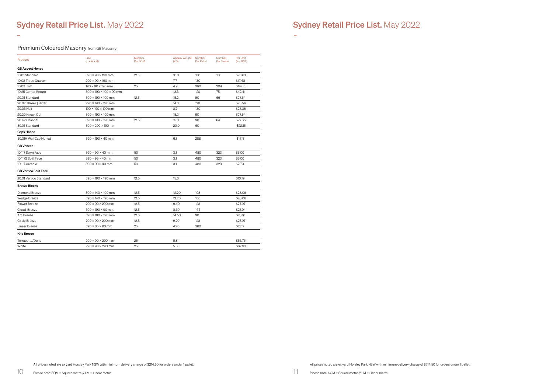-

-

Premium Coloured Masonry from GB Masonry

All prices noted are ex yard Horsley Park NSW with minimum delivery charge of \$214.50 for orders under 1 pallet.

All prices noted are ex yard Horsley Park NSW with minimum delivery charge of \$214.50 for orders under 1 pallet.

| Product                      | <b>Size</b><br>$(L \times W \times H)$ | Number<br>Per SQM | Approx Weight<br>(KG) | Number<br><b>Per Pallet</b> | Number<br>Per Tonne | Per Unit<br>(inc GST) |
|------------------------------|----------------------------------------|-------------------|-----------------------|-----------------------------|---------------------|-----------------------|
| <b>GB Aspect Honed</b>       |                                        |                   |                       |                             |                     |                       |
| 10.01 Standard               | $390 \times 90 \times 190$ mm          | 12.5              | 10.0                  | 180                         | 100                 | \$20.63               |
| 10.02 Three Quarter          | $290 \times 90 \times 190$ mm          |                   | 7.7                   | 180                         |                     | \$17.48               |
| 10.03 Half                   | $190 \times 90 \times 190$ mm          | 25                | 4.9                   | 360                         | 204                 | \$14.83               |
| 10.25 Corner Return          | 390 × 190 × 190 × 90 mm                |                   | 13.3                  | 120                         | 75                  | \$42.41               |
| 20.01 Standard               | 390 × 190 × 190 mm                     | 12.5              | 15.2                  | 90                          | 66                  | \$27.64               |
| 20.02 Three Quarter          | 290 × 190 × 190 mm                     |                   | 14.3                  | 120                         |                     | \$23.54               |
| 20.03 Half                   | $190 \times 190 \times 190$ mm         |                   | 8.7                   | 180                         |                     | \$23.36               |
| 20.20 Knock Out              | 390 × 190 × 190 mm                     |                   | 15.2                  | 90                          |                     | \$27.64               |
| 20.42 Channel                | 390 × 190 × 190 mm                     | 12.5              | 15.0                  | 90                          | 64                  | \$27.65               |
| 30.01 Standard               | 390 × 290 × 190 mm                     |                   | 20.0                  | 60                          |                     | \$22.15               |
| <b>Caps Honed</b>            |                                        |                   |                       |                             |                     |                       |
| 50.31H Wall Cap Honed        | $390 \times 190 \times 40$ mm          |                   | 6.1                   | 288                         |                     | \$11.17               |
| <b>GB</b> Veneer             |                                        |                   |                       |                             |                     |                       |
| 10.117 Sawn Face             | $390 \times 90 \times 40$ mm           | 50                | 3.1                   | 480                         | 323                 | \$5.00                |
| 10.117S Split Face           | $390 \times 95 \times 40$ mm           | 50                | 3.1                   | 480                         | 323                 | \$5.00                |
| 10.117 Arcadia               | $390 \times 90 \times 40$ mm           | 50                | 3.1                   | 480                         | 323                 | \$2.70                |
| <b>GB Vertico Split Face</b> |                                        |                   |                       |                             |                     |                       |
| 20.01 Vertico Standard       | 390 × 190 × 190 mm                     | 12.5              | 15.0                  |                             |                     | \$10.19               |
| <b>Breeze Blocks</b>         |                                        |                   |                       |                             |                     |                       |
| Diamond Breeze               | 390 × 140 × 190 mm                     | 12.5              | 12.20                 | 108                         |                     | \$28.06               |
| Wedge Breeze                 | 390 × 140 × 190 mm                     | 12.5              | 12.20                 | 108                         |                     | \$28.06               |
| Flower Breeze                | $290 \times 90 \times 290$ mm          | 12.5              | 9.40                  | 128                         |                     | \$27.97               |
| Cloud Breeze                 | $390 \times 190 \times 90$ mm          | 12.5              | 8.30                  | 144                         |                     | \$27.94               |
| Arc Breeze                   | 390 × 180 × 190 mm                     | 12.5              | 14.50                 | 90                          |                     | \$28.16               |
| Circle Breeze                | $290 \times 90 \times 290$ mm          | 12.5              | 9.20                  | 128                         |                     | \$27.97               |
| Linear Breeze                | $390 \times 85 \times 90$ mm           | 25                | 4.70                  | 360                         |                     | \$21.17               |
| <b>Kite Breeze</b>           |                                        |                   |                       |                             |                     |                       |
| Terracotta/Dune              | $290 \times 90 \times 290$ mm          | 25                | 5.8                   |                             |                     | \$55.76               |
| White                        | $290 \times 90 \times 290$ mm          | 25                | 5.8                   |                             |                     | \$62.93               |